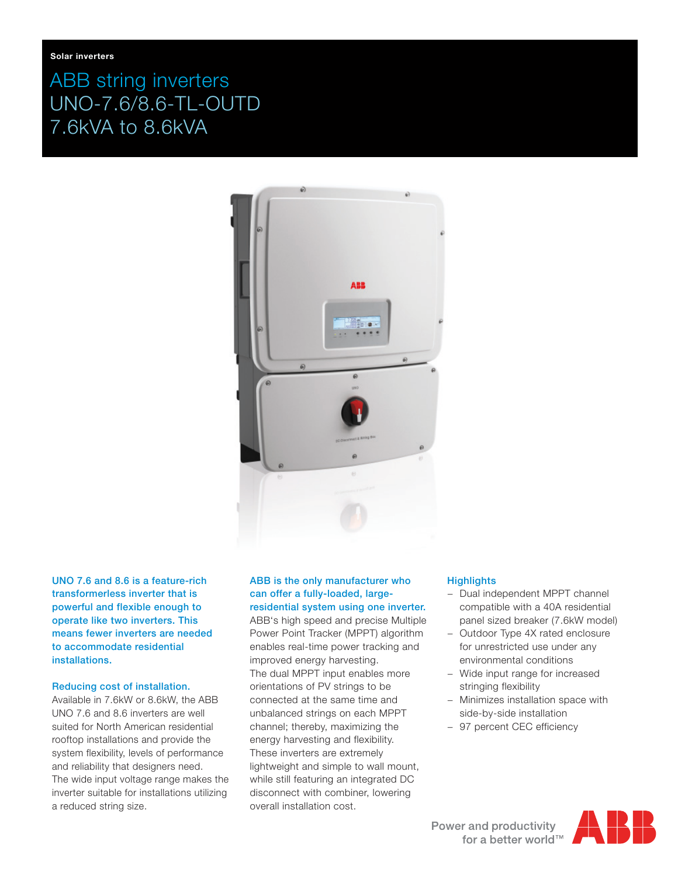# ABB string inverters UNO-7.6/8.6-TL-OUTD 7.6kVA to 8.6kVA



UNO 7.6 and 8.6 is a feature-rich transformerless inverter that is powerful and flexible enough to operate like two inverters. This means fewer inverters are needed to accommodate residential installations.

#### Reducing cost of installation.

Available in 7.6kW or 8.6kW, the ABB UNO 7.6 and 8.6 inverters are well suited for North American residential rooftop installations and provide the system flexibility, levels of performance and reliability that designers need. The wide input voltage range makes the inverter suitable for installations utilizing a reduced string size.

# ABB is the only manufacturer who can offer a fully-loaded, largeresidential system using one inverter.

ABB's high speed and precise Multiple Power Point Tracker (MPPT) algorithm enables real-time power tracking and improved energy harvesting. The dual MPPT input enables more orientations of PV strings to be connected at the same time and unbalanced strings on each MPPT channel; thereby, maximizing the energy harvesting and flexibility. These inverters are extremely lightweight and simple to wall mount, while still featuring an integrated DC disconnect with combiner, lowering overall installation cost.

# **Highlights**

- Dual independent MPPT channel compatible with a 40A residential panel sized breaker (7.6kW model)
- − Outdoor Type 4X rated enclosure for unrestricted use under any environmental conditions
- − Wide input range for increased stringing flexibility
- − Minimizes installation space with side-by-side installation
- − 97 percent CEC efficiency

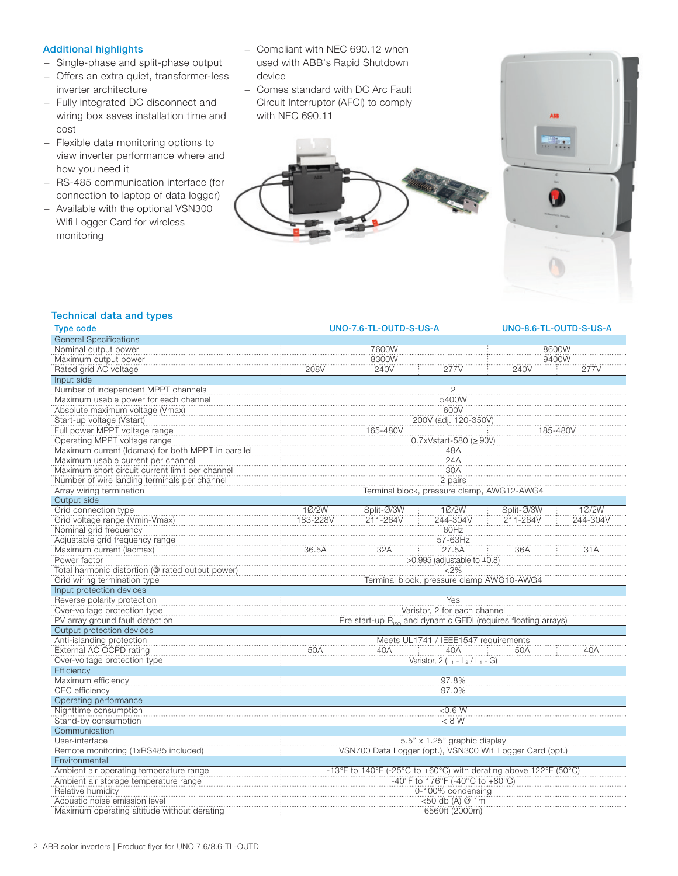## Additional highlights

- − Single-phase and split-phase output
- − Offers an extra quiet, transformer-less inverter architecture
- − Fully integrated DC disconnect and wiring box saves installation time and cost
- − Flexible data monitoring options to view inverter performance where and how you need it
- − RS-485 communication interface (for connection to laptop of data logger)
- − Available with the optional VSN300 Wifi Logger Card for wireless monitoring
- − Compliant with NEC 690.12 when used with ABB's Rapid Shutdown device
- − Comes standard with DC Arc Fault Circuit Interruptor (AFCI) to comply with NEC 690.11





# Technical data and types

| <b>Type code</b>                                   | UNO-7.6-TL-OUTD-S-US-A                                                                              |            | UNO-8.6-TL-OUTD-S-US-A               |            |          |  |
|----------------------------------------------------|-----------------------------------------------------------------------------------------------------|------------|--------------------------------------|------------|----------|--|
| <b>General Specifications</b>                      |                                                                                                     |            |                                      |            |          |  |
| Nominal output power                               | 7600W                                                                                               |            |                                      | 8600W      |          |  |
| Maximum output power                               | 8300W                                                                                               |            |                                      |            | 9400W    |  |
| Rated grid AC voltage                              | 208V                                                                                                | 240V       | 277V                                 | 240V       | 277V     |  |
| Input side                                         |                                                                                                     |            |                                      |            |          |  |
| Number of independent MPPT channels                |                                                                                                     |            | 2                                    |            |          |  |
| Maximum usable power for each channel              | 5400W                                                                                               |            |                                      |            |          |  |
| Absolute maximum voltage (Vmax)                    | 600V                                                                                                |            |                                      |            |          |  |
| Start-up voltage (Vstart)                          | 200V (adj. 120-350V)                                                                                |            |                                      |            |          |  |
| Full power MPPT voltage range                      | 165-480V<br>185-480\                                                                                |            |                                      |            |          |  |
| Operating MPPT voltage range                       | 0.7xVstart-580 (≥ 90V)                                                                              |            |                                      |            |          |  |
| Maximum current (Idcmax) for both MPPT in parallel | 48A                                                                                                 |            |                                      |            |          |  |
| Maximum usable current per channel                 |                                                                                                     | 24A        |                                      |            |          |  |
| Maximum short circuit current limit per channel    | 30A                                                                                                 |            |                                      |            |          |  |
| Number of wire landing terminals per channel       | 2 pairs                                                                                             |            |                                      |            |          |  |
| Array wiring termination                           | Terminal block, pressure clamp, AWG12-AWG4                                                          |            |                                      |            |          |  |
| Output side                                        |                                                                                                     |            |                                      |            |          |  |
| Grid connection type                               | 10/2W                                                                                               | Split-Ø/3W | 10/2W                                | Split-Ø/3W | 10/2W    |  |
| Grid voltage range (Vmin-Vmax)                     | 183-228V                                                                                            | 211-264V   | 244-304V                             | 211-264V   | 244-304V |  |
| Nominal grid frequency                             |                                                                                                     |            | 60Hz                                 |            |          |  |
| Adjustable grid frequency range                    |                                                                                                     |            | 57-63Hz                              |            |          |  |
| Maximum current (lacmax)                           | 36.5A                                                                                               | 32A        | 27.5A                                | 36A        | 31A      |  |
| Power factor                                       |                                                                                                     |            | >0.995 (adjustable to $\pm$ 0.8)     |            |          |  |
| Total harmonic distortion (@ rated output power)   | $2\%$                                                                                               |            |                                      |            |          |  |
| Grid wiring termination type                       | Terminal block, pressure clamp AWG10-AWG4                                                           |            |                                      |            |          |  |
| Input protection devices                           |                                                                                                     |            |                                      |            |          |  |
| Reverse polarity protection                        |                                                                                                     |            | Yes                                  |            |          |  |
| Over-voltage protection type                       | Varistor, 2 for each channel                                                                        |            |                                      |            |          |  |
| PV array ground fault detection                    | Pre start-up R <sub>iso</sub> and dynamic GFDI (requires floating arrays)                           |            |                                      |            |          |  |
| Output protection devices                          |                                                                                                     |            |                                      |            |          |  |
| Anti-islanding protection                          |                                                                                                     |            | Meets UL1741 / IEEE1547 requirements |            |          |  |
| External AC OCPD rating                            | 50A                                                                                                 | 40A        | 40A                                  | 50A        | 40A      |  |
| Over-voltage protection type                       |                                                                                                     |            | Varistor, $2(L_1 - L_2 / L_1 - G)$   |            |          |  |
| Efficiency                                         |                                                                                                     |            |                                      |            |          |  |
| Maximum efficiency                                 | 97.8%                                                                                               |            |                                      |            |          |  |
| CEC efficiency                                     | 97.0%                                                                                               |            |                                      |            |          |  |
| Operating performance                              |                                                                                                     |            |                                      |            |          |  |
| Nighttime consumption                              |                                                                                                     |            | $<$ 0.6 W                            |            |          |  |
| Stand-by consumption                               | < 8 W                                                                                               |            |                                      |            |          |  |
| Communication                                      |                                                                                                     |            |                                      |            |          |  |
| User-interface                                     |                                                                                                     |            | 5.5" x 1.25" graphic display         |            |          |  |
| Remote monitoring (1xRS485 included)               | VSN700 Data Logger (opt.), VSN300 Wifi Logger Card (opt.)                                           |            |                                      |            |          |  |
| Environmental                                      |                                                                                                     |            |                                      |            |          |  |
| Ambient air operating temperature range            |                                                                                                     |            |                                      |            |          |  |
| Ambient air storage temperature range              | -13°F to 140°F (-25°C to +60°C) with derating above 122°F (50°C)<br>-40°F to 176°F (-40°C to +80°C) |            |                                      |            |          |  |
| Relative humidity                                  | 0-100% condensing                                                                                   |            |                                      |            |          |  |
| Acoustic noise emission level                      | <50 db (A) @ 1m                                                                                     |            |                                      |            |          |  |
| Maximum operating altitude without derating        | 6560ft (2000m)                                                                                      |            |                                      |            |          |  |
|                                                    |                                                                                                     |            |                                      |            |          |  |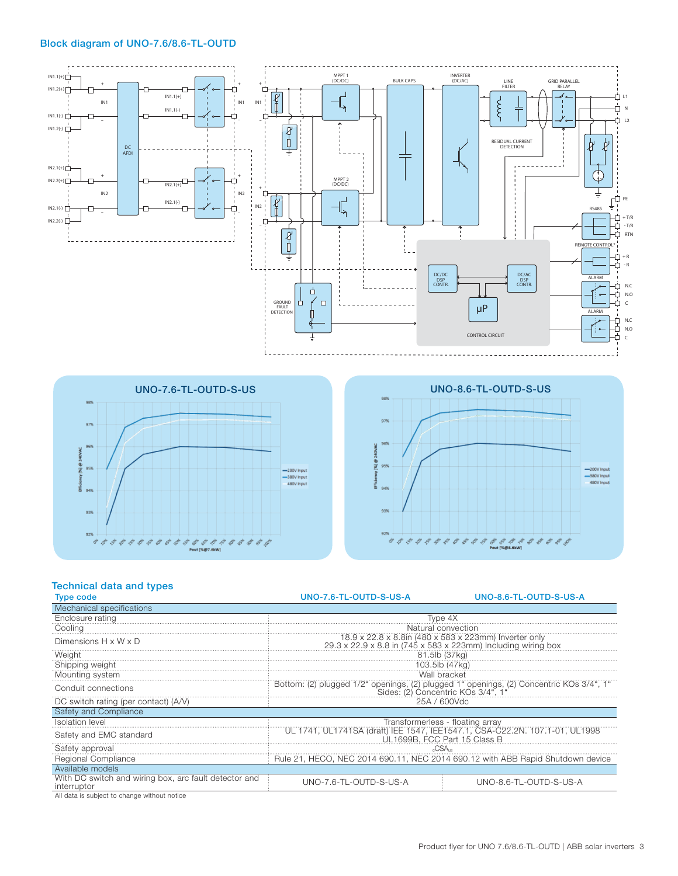#### Block diagram of UNO-7.6/8.6-TL-OUTD







# Technical data and types

| <b>Type code</b>                                                                                               | UNO-7.6-TL-OUTD-S-US-A                                                                                                        | UNO-8.6-TL-OUTD-S-US-A |  |  |  |
|----------------------------------------------------------------------------------------------------------------|-------------------------------------------------------------------------------------------------------------------------------|------------------------|--|--|--|
| Mechanical specifications                                                                                      |                                                                                                                               |                        |  |  |  |
| Enclosure rating                                                                                               | Type 4X                                                                                                                       |                        |  |  |  |
| Cooling                                                                                                        | Natural convection                                                                                                            |                        |  |  |  |
| Dimensions $H \times W \times D$                                                                               | 18.9 x 22.8 x 8.8in (480 x 583 x 223mm) Inverter only<br>29.3 x 22.9 x 8.8 in (745 x 583 x 223mm) Including wiring box        |                        |  |  |  |
| Weight                                                                                                         | 81.5lb (37kg)                                                                                                                 |                        |  |  |  |
| Shipping weight                                                                                                | 103.5lb (47kg)                                                                                                                |                        |  |  |  |
| Mounting system                                                                                                | Wall bracket                                                                                                                  |                        |  |  |  |
| Conduit connections                                                                                            | Bottom: (2) plugged 1/2" openings, (2) plugged 1" openings, (2) Concentric KOs 3/4", 1"<br>Sides: (2) Concentric KOs 3/4", 1" |                        |  |  |  |
| DC switch rating (per contact) (A/V)                                                                           | 25A / 600Vdc                                                                                                                  |                        |  |  |  |
| Safety and Compliance                                                                                          |                                                                                                                               |                        |  |  |  |
| <b>Isolation level</b>                                                                                         | Transformerless - floating array                                                                                              |                        |  |  |  |
| Safety and EMC standard                                                                                        | UL 1741, UL1741SA (draft) IEE 1547, IEE1547.1, CSA-C22.2N. 107.1-01, UL1998<br>ÚL1699B, FCC Part 15 Class B                   |                        |  |  |  |
| Safety approval                                                                                                |                                                                                                                               |                        |  |  |  |
| Regional Compliance                                                                                            | Rule 21, HECO, NEC 2014 690.11, NEC 2014 690.12 with ABB Rapid Shutdown device                                                |                        |  |  |  |
| Available models                                                                                               |                                                                                                                               |                        |  |  |  |
| With DC switch and wiring box, arc fault detector and<br>interruptor                                           | UNO-7.6-TL-OUTD-S-US-A                                                                                                        | UNO-8.6-TL-OUTD-S-US-A |  |  |  |
| distribuir de l'estable de la característica de la característica de la característica de la característica de |                                                                                                                               |                        |  |  |  |

All data is subject to change without notice